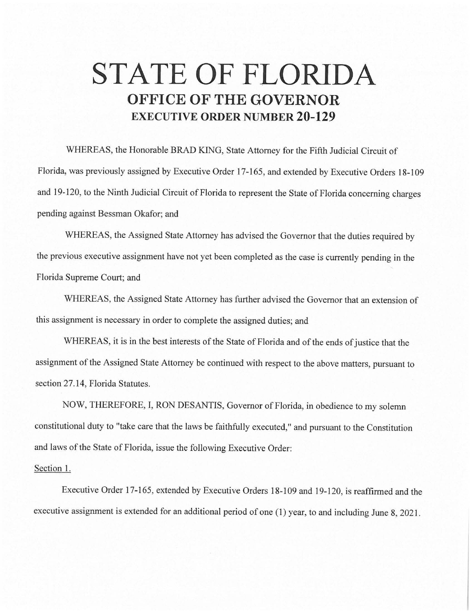## **STATE OF FLORIDA OFFICE OF THE GOVERNOR EXECUTIVE ORDER NUMBER 20-129**

WHEREAS, the Honorable BRAD KING, State Attorney for the Fifth Judicial Circuit of Florida, was previously assigned by Executive Order 17-165, and extended by Executive Orders 18-109 and 19-120, to the Ninth Judicial Circuit of Florida to represent the State of Florida concerning charges pending against Bessman Okafor; and

WHEREAS, the Assigned State Attorney has advised the Governor that the duties required by the previous executive assignment have not yet been completed as the case is currently pending in the Florida Supreme Court; and

WHEREAS, the Assigned State Attorney has further advised the Governor that an extension of this assignment is necessary in order to complete the assigned duties; and

WHEREAS, it is in the best interests of the State of Florida and of the ends of justice that the assignment of the Assigned State Attorney be continued with respect to the above matters, pursuant to section 27.14, Florida Statutes.

NOW, THEREFORE, I, RON DESANTIS, Governor of Florida, in obedience to my solemn constitutional duty to "take care that the laws be faithfully executed," and pursuant to the Constitution and laws of the State of Florida, issue the following Executive Order:

## Section 1.

Executive Order 17-165, extended by Executive Orders 18-109 and 19-120, is reaffirmed and the executive assignment is extended for an additional period of one (I) year, to and including June 8, 2021.